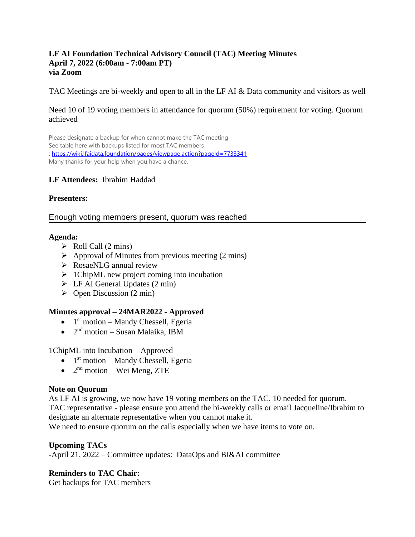#### **LF AI Foundation Technical Advisory Council (TAC) Meeting Minutes April 7, 2022 (6:00am - 7:00am PT) via Zoom**

TAC Meetings are bi-weekly and open to all in the LF AI & Data community and visitors as well

#### Need 10 of 19 voting members in attendance for quorum (50%) requirement for voting. Quorum achieved

Please designate a backup for when cannot make the TAC meeting See table here with backups listed for most TAC members :<https://wiki.lfaidata.foundation/pages/viewpage.action?pageId=7733341> Many thanks for your help when you have a chance.

#### **LF Attendees:** Ibrahim Haddad

#### **Presenters:**

#### Enough voting members present, quorum was reached

#### **Agenda:**

- $\triangleright$  Roll Call (2 mins)
- $\triangleright$  Approval of Minutes from previous meeting (2 mins)
- ➢ RosaeNLG annual review
- ➢ 1ChipML new project coming into incubation
- $\triangleright$  LF AI General Updates (2 min)
- $\triangleright$  Open Discussion (2 min)

#### **Minutes approval – 24MAR2022 - Approved**

- $\bullet$  1<sup>st</sup> motion Mandy Chessell, Egeria
- $\bullet$  2<sup>nd</sup> motion Susan Malaika, IBM

1ChipML into Incubation – Approved

- $\bullet$  1<sup>st</sup> motion Mandy Chessell, Egeria
- $\bullet$  2<sup>nd</sup> motion Wei Meng, ZTE

#### **Note on Quorum**

As LF AI is growing, we now have 19 voting members on the TAC. 10 needed for quorum. TAC representative - please ensure you attend the bi-weekly calls or email Jacqueline/Ibrahim to designate an alternate representative when you cannot make it.

We need to ensure quorum on the calls especially when we have items to vote on.

#### **Upcoming TACs**

-April 21, 2022 – Committee updates: DataOps and BI&AI committee

#### **Reminders to TAC Chair:**

Get backups for TAC members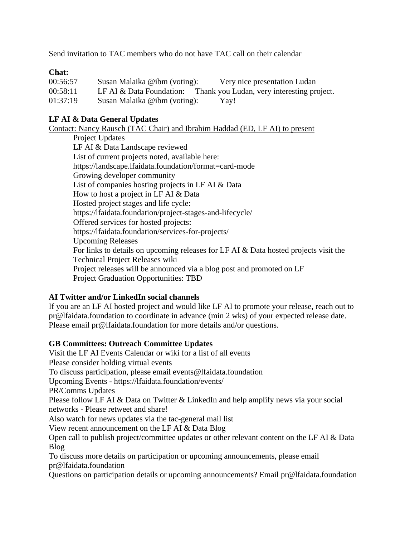Send invitation to TAC members who do not have TAC call on their calendar

### **Chat:**

| 00:56:57 | Susan Malaika @ibm (voting): | Very nice presentation Ludan                                        |
|----------|------------------------------|---------------------------------------------------------------------|
| 00:58:11 |                              | LF AI & Data Foundation: Thank you Ludan, very interesting project. |
| 01:37:19 | Susan Malaika @ibm (voting): | Yay!                                                                |

### **LF AI & Data General Updates**

Contact: Nancy Rausch (TAC Chair) and Ibrahim Haddad (ED, LF AI) to present

Project Updates LF AI & Data Landscape reviewed List of current projects noted, available here: https://landscape.lfaidata.foundation/format=card-mode Growing developer community List of companies hosting projects in LF AI & Data How to host a project in LF AI & Data Hosted project stages and life cycle: https://lfaidata.foundation/project-stages-and-lifecycle/ Offered services for hosted projects: https://lfaidata.foundation/services-for-projects/ Upcoming Releases For links to details on upcoming releases for LF AI & Data hosted projects visit the Technical Project Releases wiki Project releases will be announced via a blog post and promoted on LF Project Graduation Opportunities: TBD

#### **AI Twitter and/or LinkedIn social channels**

If you are an LF AI hosted project and would like LF AI to promote your release, reach out to pr@lfaidata.foundation to coordinate in advance (min 2 wks) of your expected release date. Please email pr@lfaidata.foundation for more details and/or questions.

#### **GB Committees: Outreach Committee Updates**

Visit the LF AI Events Calendar or wiki for a list of all events Please consider holding virtual events To discuss participation, please email events@lfaidata.foundation Upcoming Events - https://lfaidata.foundation/events/ PR/Comms Updates Please follow LF AI & Data on Twitter & LinkedIn and help amplify news via your social networks - Please retweet and share! Also watch for news updates via the tac-general mail list View recent announcement on the LF AI & Data Blog Open call to publish project/committee updates or other relevant content on the LF AI & Data Blog To discuss more details on participation or upcoming announcements, please email pr@lfaidata.foundation

Questions on participation details or upcoming announcements? Email pr@lfaidata.foundation